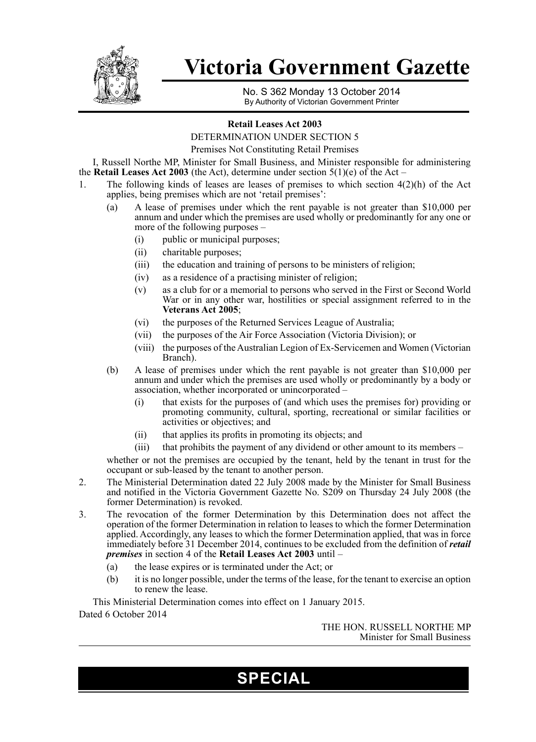

# **Victoria Government Gazette**

No. S 362 Monday 13 October 2014 By Authority of Victorian Government Printer

#### **Retail Leases Act 2003**

DETERMINATION UNDER SECTION 5

Premises Not Constituting Retail Premises

I, Russell Northe MP, Minister for Small Business, and Minister responsible for administering the **Retail Leases Act 2003** (the Act), determine under section  $5(1)(e)$  of the Act –

- 1. The following kinds of leases are leases of premises to which section 4(2)(h) of the Act applies, being premises which are not 'retail premises':
	- (a) A lease of premises under which the rent payable is not greater than \$10,000 per annum and under which the premises are used wholly or predominantly for any one or more of the following purposes –
		- (i) public or municipal purposes;
		- (ii) charitable purposes;
		- (iii) the education and training of persons to be ministers of religion;
		- (iv) as a residence of a practising minister of religion;
		- (v) as a club for or a memorial to persons who served in the First or Second World War or in any other war, hostilities or special assignment referred to in the **Veterans Act 2005**;
		- (vi) the purposes of the Returned Services League of Australia;
		- (vii) the purposes of the Air Force Association (Victoria Division); or
		- (viii) the purposes of the Australian Legion of Ex-Servicemen and Women (Victorian Branch).
	- (b) A lease of premises under which the rent payable is not greater than \$10,000 per annum and under which the premises are used wholly or predominantly by a body or association, whether incorporated or unincorporated –
		- (i) that exists for the purposes of (and which uses the premises for) providing or promoting community, cultural, sporting, recreational or similar facilities or activities or objectives; and
		- (ii) that applies its profits in promoting its objects; and
		- (iii) that prohibits the payment of any dividend or other amount to its members –

whether or not the premises are occupied by the tenant, held by the tenant in trust for the occupant or sub-leased by the tenant to another person.

- 2. The Ministerial Determination dated 22 July 2008 made by the Minister for Small Business and notified in the Victoria Government Gazette No. S209 on Thursday 24 July 2008 (the former Determination) is revoked.
- 3. The revocation of the former Determination by this Determination does not affect the operation of the former Determination in relation to leases to which the former Determination applied. Accordingly, any leases to which the former Determination applied, that was in force immediately before 31 December 2014, continues to be excluded from the definition of *retail premises* in section 4 of the **Retail Leases Act 2003** until –
	- (a) the lease expires or is terminated under the Act; or
	- (b) it is no longer possible, under the terms of the lease, for the tenant to exercise an option to renew the lease.

This Ministerial Determination comes into effect on 1 January 2015. Dated 6 October 2014

> THE HON. RUSSELL NORTHE MP Minister for Small Business

## **SPECIAL**